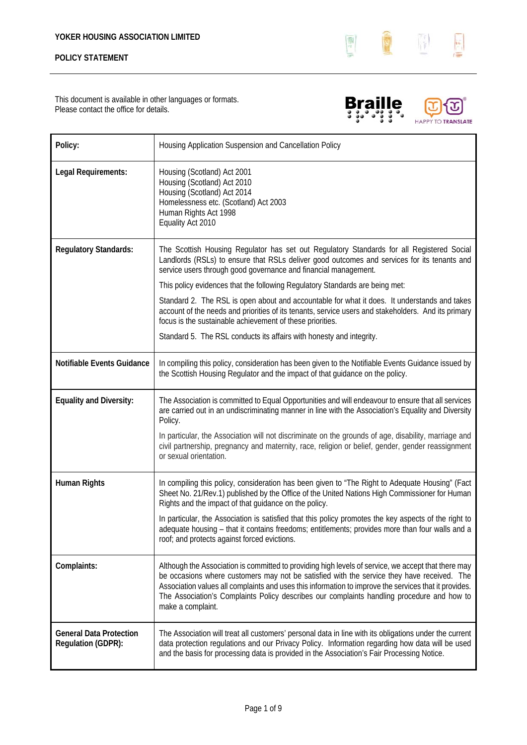

This document is available in other languages or formats. Please contact the office for details.





| Policy:                                              | Housing Application Suspension and Cancellation Policy                                                                                                                                                                                                                                                                                                                                                                        |
|------------------------------------------------------|-------------------------------------------------------------------------------------------------------------------------------------------------------------------------------------------------------------------------------------------------------------------------------------------------------------------------------------------------------------------------------------------------------------------------------|
| Legal Requirements:                                  | Housing (Scotland) Act 2001<br>Housing (Scotland) Act 2010<br>Housing (Scotland) Act 2014<br>Homelessness etc. (Scotland) Act 2003<br>Human Rights Act 1998<br>Equality Act 2010                                                                                                                                                                                                                                              |
| <b>Regulatory Standards:</b>                         | The Scottish Housing Regulator has set out Regulatory Standards for all Registered Social<br>Landlords (RSLs) to ensure that RSLs deliver good outcomes and services for its tenants and<br>service users through good governance and financial management.                                                                                                                                                                   |
|                                                      | This policy evidences that the following Regulatory Standards are being met:                                                                                                                                                                                                                                                                                                                                                  |
|                                                      | Standard 2. The RSL is open about and accountable for what it does. It understands and takes<br>account of the needs and priorities of its tenants, service users and stakeholders. And its primary<br>focus is the sustainable achievement of these priorities.                                                                                                                                                              |
|                                                      | Standard 5. The RSL conducts its affairs with honesty and integrity.                                                                                                                                                                                                                                                                                                                                                          |
| Notifiable Events Guidance                           | In compiling this policy, consideration has been given to the Notifiable Events Guidance issued by<br>the Scottish Housing Regulator and the impact of that guidance on the policy.                                                                                                                                                                                                                                           |
| <b>Equality and Diversity:</b>                       | The Association is committed to Equal Opportunities and will endeavour to ensure that all services<br>are carried out in an undiscriminating manner in line with the Association's Equality and Diversity<br>Policy.                                                                                                                                                                                                          |
|                                                      | In particular, the Association will not discriminate on the grounds of age, disability, marriage and<br>civil partnership, pregnancy and maternity, race, religion or belief, gender, gender reassignment<br>or sexual orientation.                                                                                                                                                                                           |
| Human Rights                                         | In compiling this policy, consideration has been given to "The Right to Adequate Housing" (Fact<br>Sheet No. 21/Rev.1) published by the Office of the United Nations High Commissioner for Human<br>Rights and the impact of that guidance on the policy.                                                                                                                                                                     |
|                                                      | In particular, the Association is satisfied that this policy promotes the key aspects of the right to<br>adequate housing - that it contains freedoms; entitlements; provides more than four walls and a<br>roof; and protects against forced evictions.                                                                                                                                                                      |
| Complaints:                                          | Although the Association is committed to providing high levels of service, we accept that there may<br>be occasions where customers may not be satisfied with the service they have received. The<br>Association values all complaints and uses this information to improve the services that it provides.<br>The Association's Complaints Policy describes our complaints handling procedure and how to<br>make a complaint. |
| <b>General Data Protection</b><br>Regulation (GDPR): | The Association will treat all customers' personal data in line with its obligations under the current<br>data protection regulations and our Privacy Policy. Information regarding how data will be used<br>and the basis for processing data is provided in the Association's Fair Processing Notice.                                                                                                                       |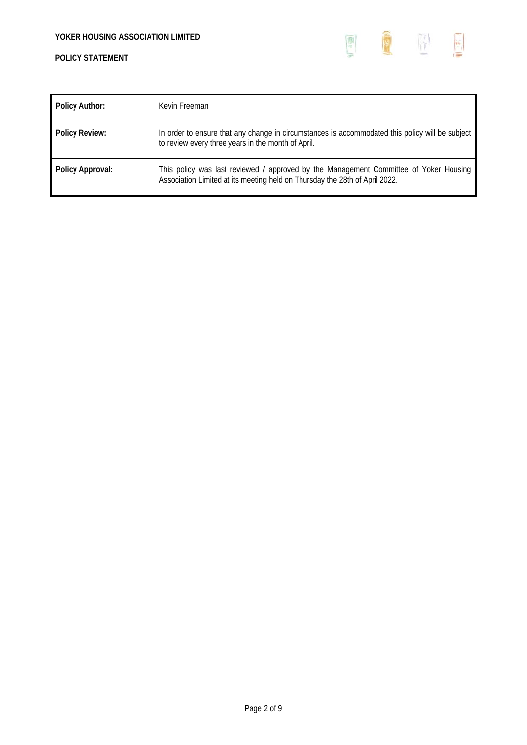

| <b>Policy Author:</b> | Kevin Freeman                                                                                                                                                        |
|-----------------------|----------------------------------------------------------------------------------------------------------------------------------------------------------------------|
| <b>Policy Review:</b> | In order to ensure that any change in circumstances is accommodated this policy will be subject<br>to review every three years in the month of April.                |
| Policy Approval:      | This policy was last reviewed / approved by the Management Committee of Yoker Housing<br>Association Limited at its meeting held on Thursday the 28th of April 2022. |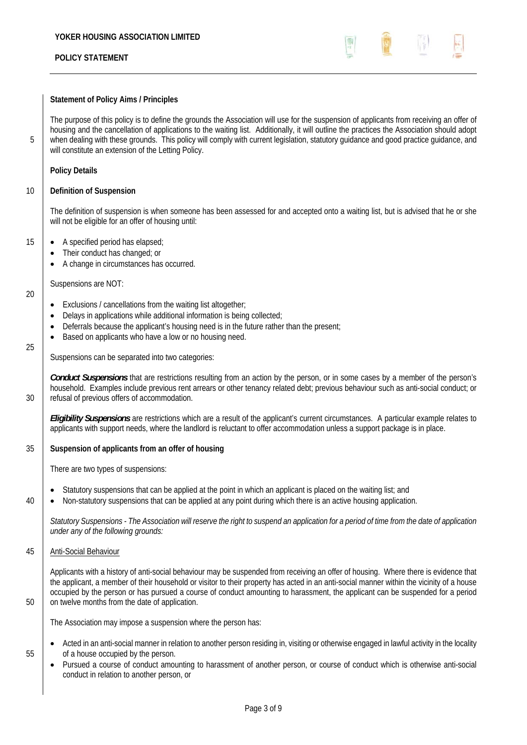## **Statement of Policy Aims / Principles**

The purpose of this policy is to define the grounds the Association will use for the suspension of applicants from receiving an offer of housing and the cancellation of applications to the waiting list. Additionally, it will outline the practices the Association should adopt 5 when dealing with these grounds. This policy will comply with current legislation, statutory guidance and good practice guidance, and will constitute an extension of the Letting Policy.

## **Policy Details**

## 10 **Definition of Suspension**

The definition of suspension is when someone has been assessed for and accepted onto a waiting list, but is advised that he or she will not be eligible for an offer of housing until:

## 15 **•** A specified period has elapsed;

- Their conduct has changed; or
- A change in circumstances has occurred.

Suspensions are NOT:

- Exclusions / cancellations from the waiting list altogether;
- Delays in applications while additional information is being collected;
- Deferrals because the applicant's housing need is in the future rather than the present;
- Based on applicants who have a low or no housing need.

25

20

Suspensions can be separated into two categories:

*Conduct Suspensions* that are restrictions resulting from an action by the person, or in some cases by a member of the person's household. Examples include previous rent arrears or other tenancy related debt; previous behaviour such as anti-social conduct; or 30 | refusal of previous offers of accommodation.

*Eligibility Suspensions* are restrictions which are a result of the applicant's current circumstances. A particular example relates to applicants with support needs, where the landlord is reluctant to offer accommodation unless a support package is in place.

# 35 **Suspension of applicants from an offer of housing**

There are two types of suspensions:

- Statutory suspensions that can be applied at the point in which an applicant is placed on the waiting list; and
- $40$   $\bullet$  Non-statutory suspensions that can be applied at any point during which there is an active housing application.

*Statutory Suspensions - The Association will reserve the right to suspend an application for a period of time from the date of application under any of the following grounds:* 

## 45 Anti-Social Behaviour

Applicants with a history of anti-social behaviour may be suspended from receiving an offer of housing. Where there is evidence that the applicant, a member of their household or visitor to their property has acted in an anti-social manner within the vicinity of a house occupied by the person or has pursued a course of conduct amounting to harassment, the applicant can be suspended for a period 50 on twelve months from the date of application.

The Association may impose a suspension where the person has:

- Acted in an anti-social manner in relation to another person residing in, visiting or otherwise engaged in lawful activity in the locality 55 **of a house occupied by the person.** 
	- Pursued a course of conduct amounting to harassment of another person, or course of conduct which is otherwise anti-social conduct in relation to another person, or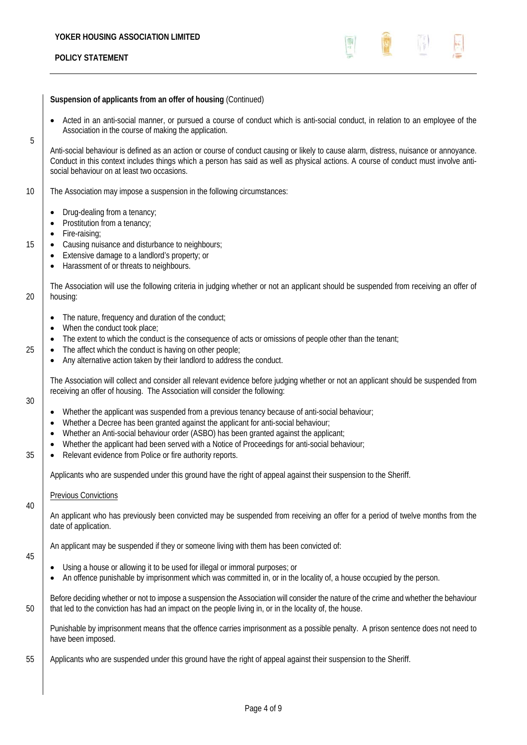## **Suspension of applicants from an offer of housing** (Continued)

• Acted in an anti-social manner, or pursued a course of conduct which is anti-social conduct, in relation to an employee of the Association in the course of making the application.

Anti-social behaviour is defined as an action or course of conduct causing or likely to cause alarm, distress, nuisance or annoyance. Conduct in this context includes things which a person has said as well as physical actions. A course of conduct must involve antisocial behaviour on at least two occasions.

- 10 The Association may impose a suspension in the following circumstances:
	- Drug-dealing from a tenancy;
	- Prostitution from a tenancy;
	- Fire-raising;
- 15 **•** Causing nuisance and disturbance to neighbours;
	- Extensive damage to a landlord's property; or
	- Harassment of or threats to neighbours.

The Association will use the following criteria in judging whether or not an applicant should be suspended from receiving an offer of 20 housing:

- The nature, frequency and duration of the conduct;
- When the conduct took place:
- The extent to which the conduct is the consequence of acts or omissions of people other than the tenant;
- $25$   $\bullet$  The affect which the conduct is having on other people;
	- Any alternative action taken by their landlord to address the conduct.

The Association will collect and consider all relevant evidence before judging whether or not an applicant should be suspended from receiving an offer of housing. The Association will consider the following:

## 30

5

- Whether the applicant was suspended from a previous tenancy because of anti-social behaviour;
- Whether a Decree has been granted against the applicant for anti-social behaviour;
- Whether an Anti-social behaviour order (ASBO) has been granted against the applicant;
- Whether the applicant had been served with a Notice of Proceedings for anti-social behaviour;
- 35 **•** Relevant evidence from Police or fire authority reports.

Applicants who are suspended under this ground have the right of appeal against their suspension to the Sheriff.

## Previous Convictions

An applicant who has previously been convicted may be suspended from receiving an offer for a period of twelve months from the date of application.

An applicant may be suspended if they or someone living with them has been convicted of:

45

40

- Using a house or allowing it to be used for illegal or immoral purposes; or
- An offence punishable by imprisonment which was committed in, or in the locality of, a house occupied by the person.

Before deciding whether or not to impose a suspension the Association will consider the nature of the crime and whether the behaviour 50 that led to the conviction has had an impact on the people living in, or in the locality of, the house.

Punishable by imprisonment means that the offence carries imprisonment as a possible penalty. A prison sentence does not need to have been imposed.

55 Applicants who are suspended under this ground have the right of appeal against their suspension to the Sheriff.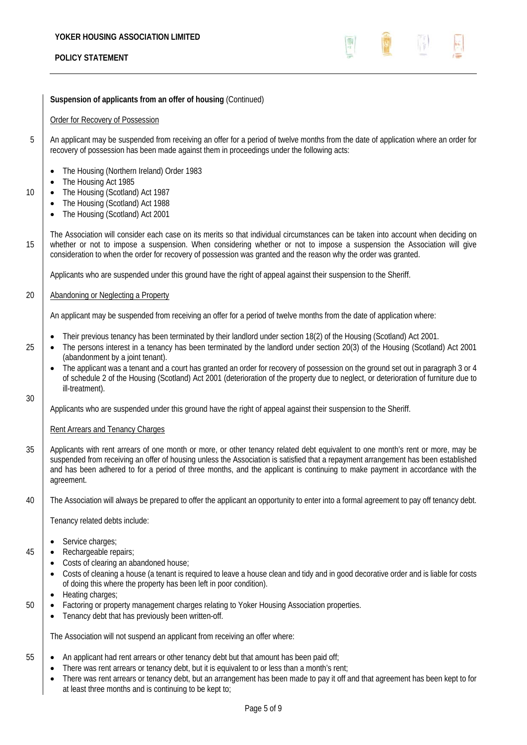

## **Suspension of applicants from an offer of housing** (Continued)

## Order for Recovery of Possession

- 5 An applicant may be suspended from receiving an offer for a period of twelve months from the date of application where an order for recovery of possession has been made against them in proceedings under the following acts:
	- The Housing (Northern Ireland) Order 1983
	- The Housing Act 1985
- 10 **•** The Housing (Scotland) Act 1987
	- The Housing (Scotland) Act 1988
	- The Housing (Scotland) Act 2001

The Association will consider each case on its merits so that individual circumstances can be taken into account when deciding on 15 whether or not to impose a suspension. When considering whether or not to impose a suspension the Association will give consideration to when the order for recovery of possession was granted and the reason why the order was granted.

Applicants who are suspended under this ground have the right of appeal against their suspension to the Sheriff.

## 20 | Abandoning or Neglecting a Property

An applicant may be suspended from receiving an offer for a period of twelve months from the date of application where:

- Their previous tenancy has been terminated by their landlord under section 18(2) of the Housing (Scotland) Act 2001.
- 25 **•** The persons interest in a tenancy has been terminated by the landlord under section 20(3) of the Housing (Scotland) Act 2001 (abandonment by a joint tenant).
	- The applicant was a tenant and a court has granted an order for recovery of possession on the ground set out in paragraph 3 or 4 of schedule 2 of the Housing (Scotland) Act 2001 (deterioration of the property due to neglect, or deterioration of furniture due to ill-treatment).

Applicants who are suspended under this ground have the right of appeal against their suspension to the Sheriff.

## Rent Arrears and Tenancy Charges

30

- 35 Applicants with rent arrears of one month or more, or other tenancy related debt equivalent to one month's rent or more, may be suspended from receiving an offer of housing unless the Association is satisfied that a repayment arrangement has been established and has been adhered to for a period of three months, and the applicant is continuing to make payment in accordance with the agreement.
- 40 The Association will always be prepared to offer the applicant an opportunity to enter into a formal agreement to pay off tenancy debt.

Tenancy related debts include:

- Service charges;
- 45 **•** Rechargeable repairs;
	- Costs of clearing an abandoned house;
	- Costs of cleaning a house (a tenant is required to leave a house clean and tidy and in good decorative order and is liable for costs of doing this where the property has been left in poor condition).
	- Heating charges;
- 50 Factoring or property management charges relating to Yoker Housing Association properties.
	- Tenancy debt that has previously been written-off.

The Association will not suspend an applicant from receiving an offer where:

- 55 **An applicant had rent arrears or other tenancy debt but that amount has been paid off**;
	- There was rent arrears or tenancy debt, but it is equivalent to or less than a month's rent;
	- There was rent arrears or tenancy debt, but an arrangement has been made to pay it off and that agreement has been kept to for at least three months and is continuing to be kept to;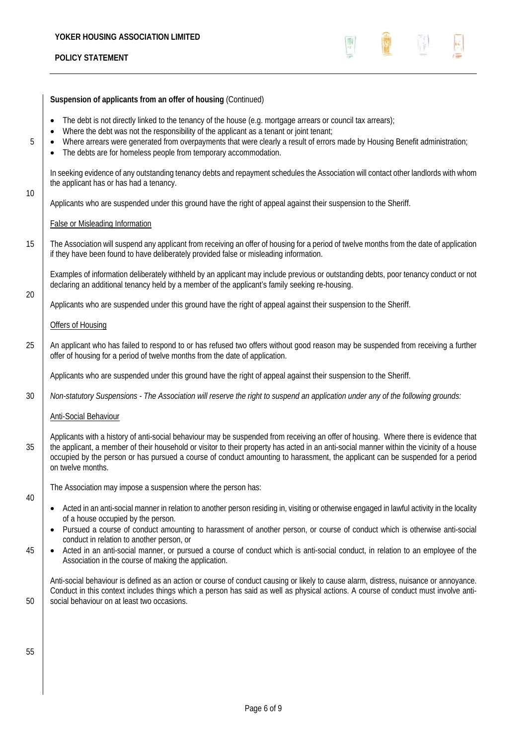

**Suspension of applicants from an offer of housing** (Continued) • The debt is not directly linked to the tenancy of the house (e.g. mortgage arrears or council tax arrears); Where the debt was not the responsibility of the applicant as a tenant or joint tenant; 5  **•** Where arrears were generated from overpayments that were clearly a result of errors made by Housing Benefit administration; The debts are for homeless people from temporary accommodation. In seeking evidence of any outstanding tenancy debts and repayment schedules the Association will contact other landlords with whom the applicant has or has had a tenancy. 10 Applicants who are suspended under this ground have the right of appeal against their suspension to the Sheriff. False or Misleading Information 15 The Association will suspend any applicant from receiving an offer of housing for a period of twelve months from the date of application if they have been found to have deliberately provided false or misleading information. Examples of information deliberately withheld by an applicant may include previous or outstanding debts, poor tenancy conduct or not declaring an additional tenancy held by a member of the applicant's family seeking re-housing. 20 Applicants who are suspended under this ground have the right of appeal against their suspension to the Sheriff. Offers of Housing 25 An applicant who has failed to respond to or has refused two offers without good reason may be suspended from receiving a further offer of housing for a period of twelve months from the date of application. Applicants who are suspended under this ground have the right of appeal against their suspension to the Sheriff. 30 *Non-statutory Suspensions - The Association will reserve the right to suspend an application under any of the following grounds:*  Anti-Social Behaviour Applicants with a history of anti-social behaviour may be suspended from receiving an offer of housing. Where there is evidence that 35 the applicant, a member of their household or visitor to their property has acted in an anti-social manner within the vicinity of a house occupied by the person or has pursued a course of conduct amounting to harassment, the applicant can be suspended for a period on twelve months. The Association may impose a suspension where the person has: 40 Acted in an anti-social manner in relation to another person residing in, visiting or otherwise engaged in lawful activity in the locality of a house occupied by the person. Pursued a course of conduct amounting to harassment of another person, or course of conduct which is otherwise anti-social conduct in relation to another person, or 45 **•** Acted in an anti-social manner, or pursued a course of conduct which is anti-social conduct, in relation to an employee of the Association in the course of making the application. Anti-social behaviour is defined as an action or course of conduct causing or likely to cause alarm, distress, nuisance or annoyance. Conduct in this context includes things which a person has said as well as physical actions. A course of conduct must involve anti-50 Social behaviour on at least two occasions. 55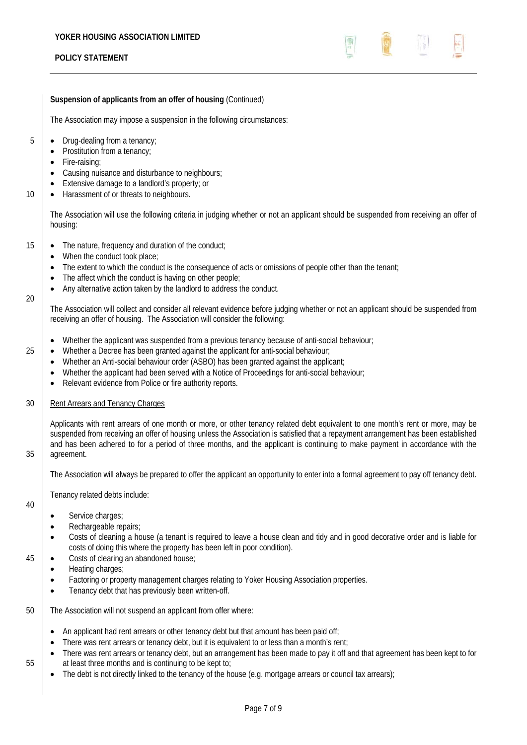

# **Suspension of applicants from an offer of housing** (Continued)

The Association may impose a suspension in the following circumstances:

- 5 **•** Drug-dealing from a tenancy;
	- Prostitution from a tenancy;
	- Fire-raising;
	- Causing nuisance and disturbance to neighbours;
	- Extensive damage to a landlord's property; or
- 10 **•** Harassment of or threats to neighbours.

The Association will use the following criteria in judging whether or not an applicant should be suspended from receiving an offer of housing:

- 15 **•** The nature, frequency and duration of the conduct;
	- When the conduct took place;
	- The extent to which the conduct is the consequence of acts or omissions of people other than the tenant;
	- The affect which the conduct is having on other people;
	- Any alternative action taken by the landlord to address the conduct.

The Association will collect and consider all relevant evidence before judging whether or not an applicant should be suspended from receiving an offer of housing. The Association will consider the following:

- Whether the applicant was suspended from a previous tenancy because of anti-social behaviour;
- 25 **•** Whether a Decree has been granted against the applicant for anti-social behaviour;
	- Whether an Anti-social behaviour order (ASBO) has been granted against the applicant;
	- Whether the applicant had been served with a Notice of Proceedings for anti-social behaviour;
	- Relevant evidence from Police or fire authority reports.

# 30 Rent Arrears and Tenancy Charges

Applicants with rent arrears of one month or more, or other tenancy related debt equivalent to one month's rent or more, may be suspended from receiving an offer of housing unless the Association is satisfied that a repayment arrangement has been established and has been adhered to for a period of three months, and the applicant is continuing to make payment in accordance with the 35 agreement.

 $20$ 

The Association will always be prepared to offer the applicant an opportunity to enter into a formal agreement to pay off tenancy debt.

Tenancy related debts include:

- 40
- Service charges;
- Rechargeable repairs;
- Costs of cleaning a house (a tenant is required to leave a house clean and tidy and in good decorative order and is liable for costs of doing this where the property has been left in poor condition).
- 45 **•** Costs of clearing an abandoned house;
	- Heating charges:
	- Factoring or property management charges relating to Yoker Housing Association properties.
	- Tenancy debt that has previously been written-off.
- 50 The Association will not suspend an applicant from offer where:
	- An applicant had rent arrears or other tenancy debt but that amount has been paid off;
	- There was rent arrears or tenancy debt, but it is equivalent to or less than a month's rent;
- There was rent arrears or tenancy debt, but an arrangement has been made to pay it off and that agreement has been kept to for 55 at least three months and is continuing to be kept to;
	- The debt is not directly linked to the tenancy of the house (e.g. mortgage arrears or council tax arrears);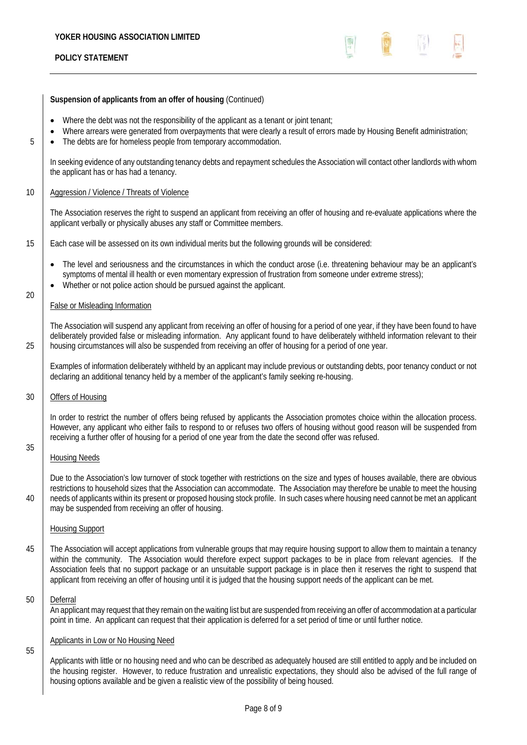

## **Suspension of applicants from an offer of housing** (Continued)

- Where the debt was not the responsibility of the applicant as a tenant or joint tenant;
- Where arrears were generated from overpayments that were clearly a result of errors made by Housing Benefit administration;
- $\overline{5}$   $\overline{5}$   $\overline{5}$  The debts are for homeless people from temporary accommodation.

In seeking evidence of any outstanding tenancy debts and repayment schedules the Association will contact other landlords with whom the applicant has or has had a tenancy.

## 10 | Aggression / Violence / Threats of Violence

The Association reserves the right to suspend an applicant from receiving an offer of housing and re-evaluate applications where the applicant verbally or physically abuses any staff or Committee members.

15 Each case will be assessed on its own individual merits but the following grounds will be considered:

- The level and seriousness and the circumstances in which the conduct arose (i.e. threatening behaviour may be an applicant's symptoms of mental ill health or even momentary expression of frustration from someone under extreme stress);
- Whether or not police action should be pursued against the applicant.

## False or Misleading Information

The Association will suspend any applicant from receiving an offer of housing for a period of one year, if they have been found to have deliberately provided false or misleading information. Any applicant found to have deliberately withheld information relevant to their 25 housing circumstances will also be suspended from receiving an offer of housing for a period of one year.

Examples of information deliberately withheld by an applicant may include previous or outstanding debts, poor tenancy conduct or not declaring an additional tenancy held by a member of the applicant's family seeking re-housing.

## 30 Offers of Housing

20

35

In order to restrict the number of offers being refused by applicants the Association promotes choice within the allocation process. However, any applicant who either fails to respond to or refuses two offers of housing without good reason will be suspended from receiving a further offer of housing for a period of one year from the date the second offer was refused.

## Housing Needs

Due to the Association's low turnover of stock together with restrictions on the size and types of houses available, there are obvious restrictions to household sizes that the Association can accommodate. The Association may therefore be unable to meet the housing 10 needs of applicants within its present or proposed housing stock profile. In such cases where housing need cannot be met an applicant may be suspended from receiving an offer of housing.

## Housing Support

<sup>45</sup> The Association will accept applications from vulnerable groups that may require housing support to allow them to maintain a tenancy within the community. The Association would therefore expect support packages to be in place from relevant agencies. If the Association feels that no support package or an unsuitable support package is in place then it reserves the right to suspend that applicant from receiving an offer of housing until it is judged that the housing support needs of the applicant can be met.

## 50 Deferral

An applicant may request that they remain on the waiting list but are suspended from receiving an offer of accommodation at a particular point in time. An applicant can request that their application is deferred for a set period of time or until further notice.

## Applicants in Low or No Housing Need

55

Applicants with little or no housing need and who can be described as adequately housed are still entitled to apply and be included on the housing register. However, to reduce frustration and unrealistic expectations, they should also be advised of the full range of housing options available and be given a realistic view of the possibility of being housed.